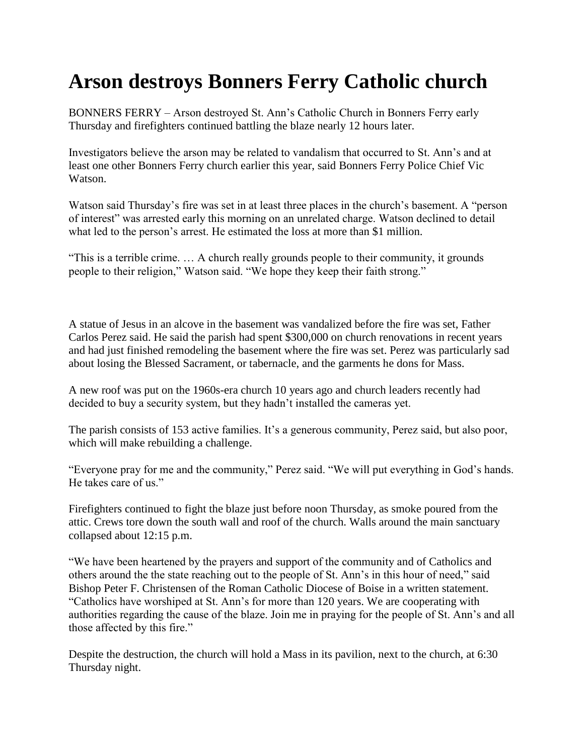## **Arson destroys Bonners Ferry Catholic church**

BONNERS FERRY – Arson destroyed St. Ann's Catholic Church in Bonners Ferry early Thursday and firefighters continued battling the blaze nearly 12 hours later.

Investigators believe the arson may be related to vandalism that occurred to St. Ann's and at least one other Bonners Ferry church earlier this year, said Bonners Ferry Police Chief Vic Watson.

Watson said Thursday's fire was set in at least three places in the church's basement. A "person of interest" was arrested early this morning on an unrelated charge. Watson declined to detail what led to the person's arrest. He estimated the loss at more than \$1 million.

"This is a terrible crime. … A church really grounds people to their community, it grounds people to their religion," Watson said. "We hope they keep their faith strong."

A statue of Jesus in an alcove in the basement was vandalized before the fire was set, Father Carlos Perez said. He said the parish had spent \$300,000 on church renovations in recent years and had just finished remodeling the basement where the fire was set. Perez was particularly sad about losing the Blessed Sacrament, or tabernacle, and the garments he dons for Mass.

A new roof was put on the 1960s-era church 10 years ago and church leaders recently had decided to buy a security system, but they hadn't installed the cameras yet.

The parish consists of 153 active families. It's a generous community, Perez said, but also poor, which will make rebuilding a challenge.

"Everyone pray for me and the community," Perez said. "We will put everything in God's hands. He takes care of us."

Firefighters continued to fight the blaze just before noon Thursday, as smoke poured from the attic. Crews tore down the south wall and roof of the church. Walls around the main sanctuary collapsed about 12:15 p.m.

"We have been heartened by the prayers and support of the community and of Catholics and others around the the state reaching out to the people of St. Ann's in this hour of need," said Bishop Peter F. Christensen of the Roman Catholic Diocese of Boise in a written statement. "Catholics have worshiped at St. Ann's for more than 120 years. We are cooperating with authorities regarding the cause of the blaze. Join me in praying for the people of St. Ann's and all those affected by this fire."

Despite the destruction, the church will hold a Mass in its pavilion, next to the church, at 6:30 Thursday night.